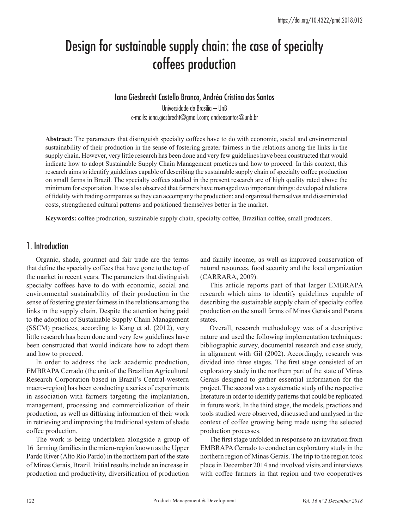# Design for sustainable supply chain: the case of specialty coffees production

#### Iana Giesbrecht Castello Branco, Andréa Cristina dos Santos

Universidade de Brasília – UnB e-mails: iana.giesbrecht@gmail.com; andreasantos@unb.br

**Abstract:** The parameters that distinguish specialty coffees have to do with economic, social and environmental sustainability of their production in the sense of fostering greater fairness in the relations among the links in the supply chain. However, very little research has been done and very few guidelines have been constructed that would indicate how to adopt Sustainable Supply Chain Management practices and how to proceed. In this context, this research aims to identify guidelines capable of describing the sustainable supply chain of specialty coffee production on small farms in Brazil. The specialty coffees studied in the present research are of high quality rated above the minimum for exportation. It was also observed that farmers have managed two important things: developed relations of fidelity with trading companies so they can accompany the production; and organized themselves and disseminated costs, strengthened cultural patterns and positioned themselves better in the market.

**Keywords:** coffee production, sustainable supply chain, specialty coffee, Brazilian coffee, small producers.

# 1. Introduction

Organic, shade, gourmet and fair trade are the terms that define the specialty coffees that have gone to the top of the market in recent years. The parameters that distinguish specialty coffees have to do with economic, social and environmental sustainability of their production in the sense of fostering greater fairness in the relations among the links in the supply chain. Despite the attention being paid to the adoption of Sustainable Supply Chain Management (SSCM) practices, according to Kang et al. (2012), very little research has been done and very few guidelines have been constructed that would indicate how to adopt them and how to proceed.

In order to address the lack academic production, EMBRAPA Cerrado (the unit of the Brazilian Agricultural Research Corporation based in Brazil's Central-western macro-region) has been conducting a series of experiments in association with farmers targeting the implantation, management, processing and commercialization of their production, as well as diffusing information of their work in retrieving and improving the traditional system of shade coffee production.

The work is being undertaken alongside a group of 16 farming families in the micro-region known as the Upper Pardo River (Alto Rio Pardo) in the northern part of the state of Minas Gerais, Brazil. Initial results include an increase in production and productivity, diversification of production

and family income, as well as improved conservation of natural resources, food security and the local organization (CARRARA, 2009).

This article reports part of that larger EMBRAPA research which aims to identify guidelines capable of describing the sustainable supply chain of specialty coffee production on the small farms of Minas Gerais and Parana states.

Overall, research methodology was of a descriptive nature and used the following implementation techniques: bibliographic survey, documental research and case study, in alignment with Gil (2002). Accordingly, research was divided into three stages. The first stage consisted of an exploratory study in the northern part of the state of Minas Gerais designed to gather essential information for the project. The second was a systematic study of the respective literature in order to identify patterns that could be replicated in future work. In the third stage, the models, practices and tools studied were observed, discussed and analysed in the context of coffee growing being made using the selected production processes.

The first stage unfolded in response to an invitation from EMBRAPA Cerrado to conduct an exploratory study in the northern region of Minas Gerais. The trip to the region took place in December 2014 and involved visits and interviews with coffee farmers in that region and two cooperatives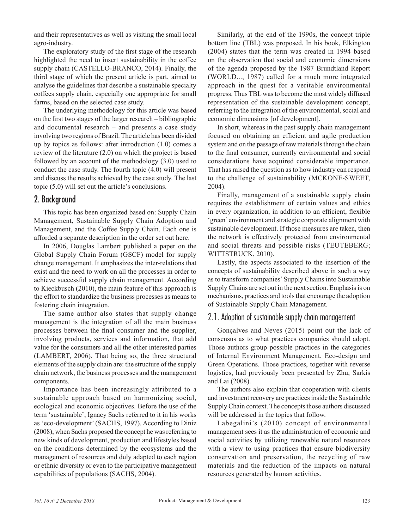and their representatives as well as visiting the small local agro-industry.

The exploratory study of the first stage of the research highlighted the need to insert sustainability in the coffee supply chain (CASTELLO-BRANCO, 2014). Finally, the third stage of which the present article is part, aimed to analyse the guidelines that describe a sustainable specialty coffees supply chain, especially one appropriate for small farms, based on the selected case study.

The underlying methodology for this article was based on the first two stages of the larger research – bibliographic and documental research – and presents a case study involving two regions of Brazil. The article has been divided up by topics as follows: after introduction (1.0) comes a review of the literature (2.0) on which the project is based followed by an account of the methodology (3.0) used to conduct the case study. The fourth topic (4.0) will present and discuss the results achieved by the case study. The last topic (5.0) will set out the article's conclusions.

# 2. Background

This topic has been organized based on: Supply Chain Management, Sustainable Supply Chain Adoption and Management, and the Coffee Supply Chain. Each one is afforded a separate description in the order set out here.

In 2006, Douglas Lambert published a paper on the Global Supply Chain Forum (GSCF) model for supply change management. It emphasizes the inter-relations that exist and the need to work on all the processes in order to achieve successful supply chain management. According to Kieckbusch (2010), the main feature of this approach is the effort to standardize the business processes as means to fostering chain integration.

The same author also states that supply change management is the integration of all the main business processes between the final consumer and the supplier, involving products, services and information, that add value for the consumers and all the other interested parties (LAMBERT, 2006). That being so, the three structural elements of the supply chain are: the structure of the supply chain network, the business processes and the management components.

Importance has been increasingly attributed to a sustainable approach based on harmonizing social, ecological and economic objectives. Before the use of the term 'sustainable', Ignacy Sachs referred to it in his works as 'eco-development' (SACHS, 1997). According to Diniz (2008), when Sachs proposed the concept he was referring to new kinds of development, production and lifestyles based on the conditions determined by the ecosystems and the management of resources and duly adapted to each region or ethnic diversity or even to the participative management capabilities of populations (SACHS, 2004).

Similarly, at the end of the 1990s, the concept triple bottom line (TBL) was proposed. In his book, Elkington (2004) states that the term was created in 1994 based on the observation that social and economic dimensions of the agenda proposed by the 1987 Brundtland Report (WORLD..., 1987) called for a much more integrated approach in the quest for a veritable environmental progress. Thus TBL was to become the most widely diffused representation of the sustainable development concept, referring to the integration of the environmental, social and economic dimensions [of development].

In short, whereas in the past supply chain management focused on obtaining an efficient and agile production system and on the passage of raw materials through the chain to the final consumer, currently environmental and social considerations have acquired considerable importance. That has raised the question as to how industry can respond to the challenge of sustainability (MCKONE-SWEET, 2004).

Finally, management of a sustainable supply chain requires the establishment of certain values and ethics in every organization, in addition to an efficient, flexible 'green' environment and strategic corporate alignment with sustainable development. If those measures are taken, then the network is effectively protected from environmental and social threats and possible risks (TEUTEBERG; WITTSTRUCK, 2010).

Lastly, the aspects associated to the insertion of the concepts of sustainability described above in such a way as to transform companies' Supply Chains into Sustainable Supply Chains are set out in the next section. Emphasis is on mechanisms, practices and tools that encourage the adoption of Sustainable Supply Chain Management.

### 2.1. Adoption of sustainable supply chain management

Gonçalves and Neves (2015) point out the lack of consensus as to what practices companies should adopt. Those authors group possible practices in the categories of Internal Environment Management, Eco-design and Green Operations. Those practices, together with reverse logistics, had previously been presented by Zhu, Sarkis and Lai (2008).

The authors also explain that cooperation with clients and investment recovery are practices inside the Sustainable Supply Chain context. The concepts those authors discussed will be addressed in the topics that follow.

Labegalini's (2010) concept of environmental management sees it as the administration of economic and social activities by utilizing renewable natural resources with a view to using practices that ensure biodiversity conservation and preservation, the recycling of raw materials and the reduction of the impacts on natural resources generated by human activities.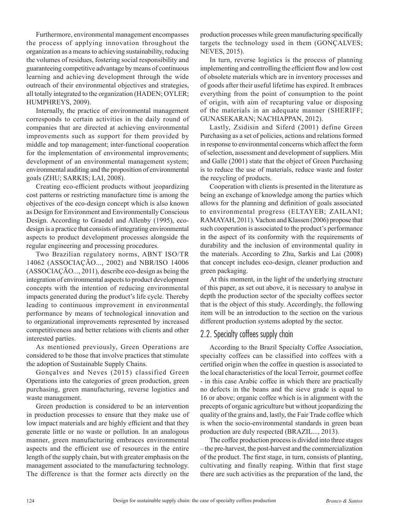Furthermore, environmental management encompasses the process of applying innovation throughout the organization as a means to achieving sustainability, reducing the volumes of residues, fostering social responsibility and guaranteeing competitive advantage by means of continuous learning and achieving development through the wide outreach of their environmental objectives and strategies, all totally integrated to the organization (HADEN; OYLER; HUMPHREYS, 2009).

Internally, the practice of environmental management corresponds to certain activities in the daily round of companies that are directed at achieving environmental improvements such as support for them provided by middle and top management; inter-functional cooperation for the implementation of environmental improvements; development of an environmental management system; environmental auditing and the proposition of environmental goals (ZHU; SARKIS; LAI, 2008).

Creating eco-efficient products without jeopardizing cost patterns or restricting manufacture time is among the objectives of the eco-design concept which is also known as Design for Environment and Environmentally Conscious Design. According to Graedel and Allenby (1995), ecodesign is a practice that consists of integrating environmental aspects to product development processes alongside the regular engineering and processing procedures.

Two Brazilian regulatory norms, ABNT ISO/TR 14062 (ASSOCIAÇÃO..., 2002) and NBR/ISO 14006 (ASSOCIAÇÃO..., 2011), describe eco-design as being the integration of environmental aspects to product development concepts with the intention of reducing environmental impacts generated during the product's life cycle. Thereby leading to continuous improvement in environmental performance by means of technological innovation and to organizational improvements represented by increased competitiveness and better relations with clients and other interested parties.

As mentioned previously, Green Operations are considered to be those that involve practices that stimulate the adoption of Sustainable Supply Chains.

Gonçalves and Neves (2015) classified Green Operations into the categories of green production, green purchasing, green manufacturing, reverse logistics and waste management.

Green production is considered to be an intervention in production processes to ensure that they make use of low impact materials and are highly efficient and that they generate little or no waste or pollution. In an analogous manner, green manufacturing embraces environmental aspects and the efficient use of resources in the entire length of the supply chain, but with greater emphasis on the management associated to the manufacturing technology. The difference is that the former acts directly on the

production processes while green manufacturing specifically targets the technology used in them (GONÇALVES; NEVES, 2015).

In turn, reverse logistics is the process of planning implementing and controlling the efficient flow and low cost of obsolete materials which are in inventory processes and of goods after their useful lifetime has expired. It embraces everything from the point of consumption to the point of origin, with aim of recapturing value or disposing of the materials in an adequate manner (SHERIFF; GUNASEKARAN; NACHIAPPAN, 2012).

Lastly, Zsidisin and Siferd (2001) define Green Purchasing as a set of policies, actions and relations formed in response to environmental concerns which affect the form of selection, assessment and development of suppliers. Min and Galle (2001) state that the object of Green Purchasing is to reduce the use of materials, reduce waste and foster the recycling of products.

Cooperation with clients is presented in the literature as being an exchange of knowledge among the parties which allows for the planning and definition of goals associated to environmental progress (ELTAYEB; ZAILANI; RAMAYAH, 2011). Vachon and Klassen (2006) propose that such cooperation is associated to the product's performance in the aspect of its conformity with the requirements of durability and the inclusion of environmental quality in the materials. According to Zhu, Sarkis and Lai (2008) that concept includes eco-design, cleaner production and green packaging.

At this moment, in the light of the underlying structure of this paper, as set out above, it is necessary to analyse in depth the production sector of the specialty coffees sector that is the object of this study. Accordingly, the following item will be an introduction to the section on the various different production systems adopted by the sector.

#### 2.2. Specialty coffees supply chain

According to the Brazil Specialty Coffee Association, specialty coffees can be classified into coffees with a certified origin when the coffee in question is associated to the local characteristics of the local Terroir, gourmet coffee - in this case Arabic coffee in which there are practically no defects in the beans and the sieve grade is equal to 16 or above; organic coffee which is in alignment with the precepts of organic agriculture but without jeopardizing the quality of the grains and, lastly, the Fair Trade coffee which is when the socio-environmental standards in green bean production are duly respected (BRAZIL..., 2013).

The coffee production process is divided into three stages – the pre-harvest, the post-harvest and the commercialization of the product. The first stage, in turn, consists of planting, cultivating and finally reaping. Within that first stage there are such activities as the preparation of the land, the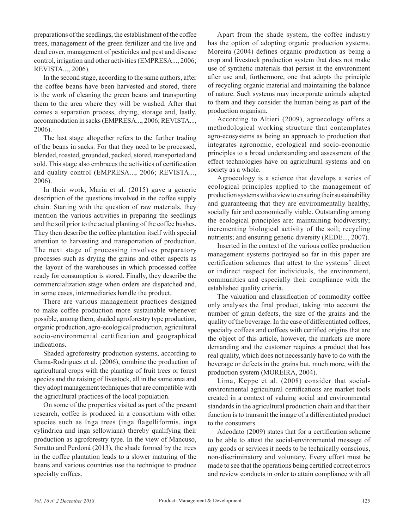preparations of the seedlings, the establishment of the coffee trees, management of the green fertilizer and the live and dead cover, management of pesticides and pest and disease control, irrigation and other activities (EMPRESA..., 2006; REVISTA..., 2006).

In the second stage, according to the same authors, after the coffee beans have been harvested and stored, there is the work of cleaning the green beans and transporting them to the area where they will be washed. After that comes a separation process, drying, storage and, lastly, accommodation in sacks (EMPRESA..., 2006; REVISTA..., 2006).

The last stage altogether refers to the further trading of the beans in sacks. For that they need to be processed, blended, roasted, grounded, packed, stored, transported and sold. This stage also embraces the activities of certification and quality control (EMPRESA..., 2006; REVISTA..., 2006).

In their work, Maria et al. (2015) gave a generic description of the questions involved in the coffee supply chain. Starting with the question of raw materials, they mention the various activities in preparing the seedlings and the soil prior to the actual planting of the coffee bushes. They then describe the coffee plantation itself with special attention to harvesting and transportation of production. The next stage of processing involves preparatory processes such as drying the grains and other aspects as the layout of the warehouses in which processed coffee ready for consumption is stored. Finally, they describe the commercialization stage when orders are dispatched and, in some cases, intermediaries handle the product.

There are various management practices designed to make coffee production more sustainable whenever possible, among them, shaded agroforestry type production, organic production, agro-ecological production, agricultural socio-environmental certification and geographical indications.

Shaded agroforestry production systems, according to Gama-Rodrigues et al. (2006), combine the production of agricultural crops with the planting of fruit trees or forest species and the raising of livestock, all in the same area and they adopt management techniques that are compatible with the agricultural practices of the local population.

On some of the properties visited as part of the present research, coffee is produced in a consortium with other species such as Inga trees (inga flagelliformis, inga cylindrica and inga sellowiana) thereby qualifying their production as agroforestry type. In the view of Mancuso, Soratto and Perdoná (2013), the shade formed by the trees in the coffee plantation leads to a slower maturing of the beans and various countries use the technique to produce specialty coffees.

Apart from the shade system, the coffee industry has the option of adopting organic production systems. Moreira (2004) defines organic production as being a crop and livestock production system that does not make use of synthetic materials that persist in the environment after use and, furthermore, one that adopts the principle of recycling organic material and maintaining the balance of nature. Such systems may incorporate animals adapted to them and they consider the human being as part of the production organism.

According to Altieri (2009), agroecology offers a methodological working structure that contemplates agro-ecosystems as being an approach to production that integrates agronomic, ecological and socio-economic principles to a broad understanding and assessment of the effect technologies have on agricultural systems and on society as a whole.

Agroecology is a science that develops a series of ecological principles applied to the management of production systems with a view to ensuring their sustainability and guaranteeing that they are environmentally healthy, socially fair and economically viable. Outstanding among the ecological principles are: maintaining biodiversity; incrementing biological activity of the soil; recycling nutrients; and ensuring genetic diversity (REDE..., 2007).

Inserted in the context of the various coffee production management systems portrayed so far in this paper are certification schemes that attest to the systems' direct or indirect respect for individuals, the environment, communities and especially their compliance with the established quality criteria.

The valuation and classification of commodity coffee only analyses the final product, taking into account the number of grain defects, the size of the grains and the quality of the beverage. In the case of differentiated coffees, specialty coffees and coffees with certified origins that are the object of this article, however, the markets are more demanding and the customer requires a product that has real quality, which does not necessarily have to do with the beverage or defects in the grains but, much more, with the production system (MOREIRA, 2004).

Lima, Keppe et al. (2008) consider that socialenvironmental agricultural certifications are market tools created in a context of valuing social and environmental standards in the agricultural production chain and that their function is to transmit the image of a differentiated product to the consumers.

Adeodato (2009) states that for a certification scheme to be able to attest the social-environmental message of any goods or services it needs to be technically conscious, non-discriminatory and voluntary. Every effort must be made to see that the operations being certified correct errors and review conducts in order to attain compliance with all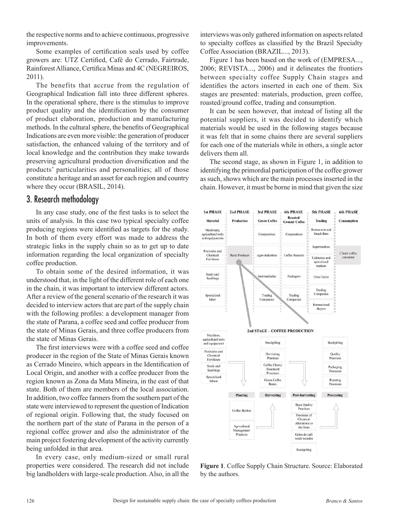the respective norms and to achieve continuous, progressive improvements.

Some examples of certification seals used by coffee growers are: UTZ Certified, Café do Cerrado, Fairtrade, Rainforest Alliance, Certifica Minas and 4C (NEGREIROS, 2011).

The benefits that accrue from the regulation of Geographical Indication fall into three different spheres. In the operational sphere, there is the stimulus to improve product quality and the identification by the consumer of product elaboration, production and manufacturing methods. In the cultural sphere, the benefits of Geographical Indications are even more visible: the generation of producer satisfaction, the enhanced valuing of the territory and of local knowledge and the contribution they make towards preserving agricultural production diversification and the products' particularities and personalities; all of those constitute a heritage and an asset for each region and country where they occur (BRASIL, 2014).

### 3. Research methodology

In any case study, one of the first tasks is to select the units of analysis. In this case two typical specialty coffee producing regions were identified as targets for the study. In both of them every effort was made to address the strategic links in the supply chain so as to get up to date information regarding the local organization of specialty coffee production.

To obtain some of the desired information, it was understood that, in the light of the different role of each one in the chain, it was important to interview different actors. After a review of the general scenario of the research it was decided to interview actors that are part of the supply chain with the following profiles: a development manager from the state of Parana, a coffee seed and coffee producer from the state of Minas Gerais, and three coffee producers from the state of Minas Gerais.

The first interviews were with a coffee seed and coffee producer in the region of the State of Minas Gerais known as Cerrado Mineiro, which appears in the Identification of Local Origin, and another with a coffee producer from the region known as Zona da Mata Mineira, in the east of that state. Both of them are members of the local association. In addition, two coffee farmers from the southern part of the state were interviewed to represent the question of Indication of regional origin. Following that, the study focused on the northern part of the state of Parana in the person of a regional coffee grower and also the administrator of the main project fostering development of the activity currently being unfolded in that area.

In every case, only medium-sized or small rural properties were considered. The research did not include big landholders with large-scale production. Also, in all the

interviews was only gathered information on aspects related to specialty coffees as classified by the Brazil Specialty Coffee Association (BRAZIL..., 2013).

Figure 1 has been based on the work of (EMPRESA..., 2006; REVISTA..., 2006) and it delineates the frontiers between specialty coffee Supply Chain stages and identifies the actors inserted in each one of them. Six stages are presented: materials, production, green coffee, roasted/ground coffee, trading and consumption.

It can be seen however, that instead of listing all the potential suppliers, it was decided to identify which materials would be used in the following stages because it was felt that in some chains there are several suppliers for each one of the materials while in others, a single actor delivers them all.

The second stage, as shown in Figure 1, in addition to identifying the primordial participation of the coffee grower as such, shows which are the main processes inserted in the chain. However, it must be borne in mind that given the size



**Figure 1**. Coffee Supply Chain Structure. Source: Elaborated by the authors.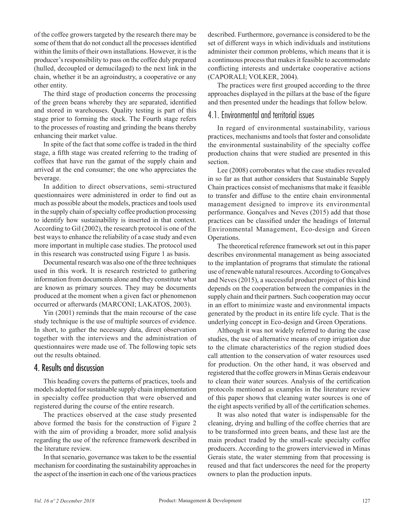of the coffee growers targeted by the research there may be some of them that do not conduct all the processes identified within the limits of their own installations. However, it is the producer's responsibility to pass on the coffee duly prepared (hulled, decoupled or demucilaged) to the next link in the chain, whether it be an agroindustry, a cooperative or any other entity.

The third stage of production concerns the processing of the green beans whereby they are separated, identified and stored in warehouses. Quality testing is part of this stage prior to forming the stock. The Fourth stage refers to the processes of roasting and grinding the beans thereby enhancing their market value.

In spite of the fact that some coffee is traded in the third stage, a fifth stage was created referring to the trading of coffees that have run the gamut of the supply chain and arrived at the end consumer; the one who appreciates the beverage.

In addition to direct observations, semi-structured questionnaires were administered in order to find out as much as possible about the models, practices and tools used in the supply chain of specialty coffee production processing to identify how sustainability is inserted in that context. According to Gil (2002), the research protocol is one of the best ways to enhance the reliability of a case study and even more important in multiple case studies. The protocol used in this research was constructed using Figure 1 as basis.

Documental research was also one of the three techniques used in this work. It is research restricted to gathering information from documents alone and they constitute what are known as primary sources. They may be documents produced at the moment when a given fact or phenomenon occurred or afterwards (MARCONI; LAKATOS, 2003).

Yin (2001) reminds that the main recourse of the case study technique is the use of multiple sources of evidence. In short, to gather the necessary data, direct observation together with the interviews and the administration of questionnaires were made use of. The following topic sets out the results obtained.

# 4. Results and discussion

This heading covers the patterns of practices, tools and models adopted for sustainable supply chain implementation in specialty coffee production that were observed and registered during the course of the entire research.

The practices observed at the case study presented above formed the basis for the construction of Figure 2 with the aim of providing a broader, more solid analysis regarding the use of the reference framework described in the literature review.

In that scenario, governance was taken to be the essential mechanism for coordinating the sustainability approaches in the aspect of the insertion in each one of the various practices described. Furthermore, governance is considered to be the set of different ways in which individuals and institutions administer their common problems, which means that it is a continuous process that makes it feasible to accommodate conflicting interests and undertake cooperative actions (CAPORALI; VOLKER, 2004).

The practices were first grouped according to the three approaches displayed in the pillars at the base of the figure and then presented under the headings that follow below.

#### 4.1. Environmental and territorial issues

In regard of environmental sustainability, various practices, mechanisms and tools that foster and consolidate the environmental sustainability of the specialty coffee production chains that were studied are presented in this section.

Lee (2008) corroborates what the case studies revealed in so far as that author considers that Sustainable Supply Chain practices consist of mechanisms that make it feasible to transfer and diffuse to the entire chain environmental management designed to improve its environmental performance. Gonçalves and Neves (2015) add that those practices can be classified under the headings of Internal Environmental Management, Eco-design and Green Operations.

The theoretical reference framework set out in this paper describes environmental management as being associated to the implantation of programs that stimulate the rational use of renewable natural resources. According to Gonçalves and Neves (2015), a successful product project of this kind depends on the cooperation between the companies in the supply chain and their partners. Such cooperation may occur in an effort to minimize waste and environmental impacts generated by the product in its entire life cycle. That is the underlying concept in Eco-design and Green Operations.

Although it was not widely referred to during the case studies, the use of alternative means of crop irrigation due to the climate characteristics of the region studied does call attention to the conservation of water resources used for production. On the other hand, it was observed and registered that the coffee growers in Minas Gerais endeavour to clean their water sources. Analysis of the certification protocols mentioned as examples in the literature review of this paper shows that cleaning water sources is one of the eight aspects verified by all of the certification schemes.

It was also noted that water is indispensable for the cleaning, drying and hulling of the coffee cherries that are to be transformed into green beans, and these last are the main product traded by the small-scale specialty coffee producers. According to the growers interviewed in Minas Gerais state, the water stemming from that processing is reused and that fact underscores the need for the property owners to plan the production inputs.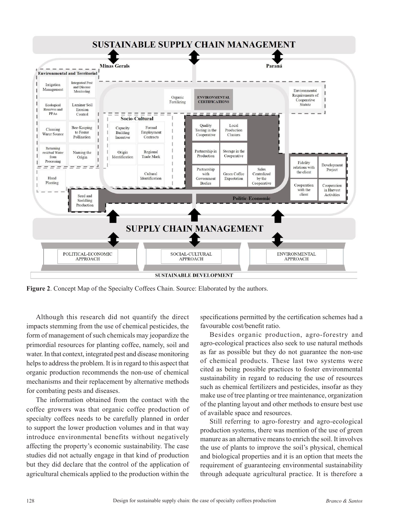

**Figure 2**. Concept Map of the Specialty Coffees Chain. Source: Elaborated by the authors.

Although this research did not quantify the direct impacts stemming from the use of chemical pesticides, the form of management of such chemicals may jeopardize the primordial resources for planting coffee, namely, soil and water. In that context, integrated pest and disease monitoring helps to address the problem. It is in regard to this aspect that organic production recommends the non-use of chemical mechanisms and their replacement by alternative methods for combating pests and diseases.

The information obtained from the contact with the coffee growers was that organic coffee production of specialty coffees needs to be carefully planned in order to support the lower production volumes and in that way introduce environmental benefits without negatively affecting the property's economic sustainability. The case studies did not actually engage in that kind of production but they did declare that the control of the application of agricultural chemicals applied to the production within the

specifications permitted by the certification schemes had a favourable cost/benefit ratio.

Besides organic production, agro-forestry and agro-ecological practices also seek to use natural methods as far as possible but they do not guarantee the non-use of chemical products. These last two systems were cited as being possible practices to foster environmental sustainability in regard to reducing the use of resources such as chemical fertilizers and pesticides, insofar as they make use of tree planting or tree maintenance, organization of the planting layout and other methods to ensure best use of available space and resources.

Still referring to agro-forestry and agro-ecological production systems, there was mention of the use of green manure as an alternative means to enrich the soil. It involves the use of plants to improve the soil's physical, chemical and biological properties and it is an option that meets the requirement of guaranteeing environmental sustainability through adequate agricultural practice. It is therefore a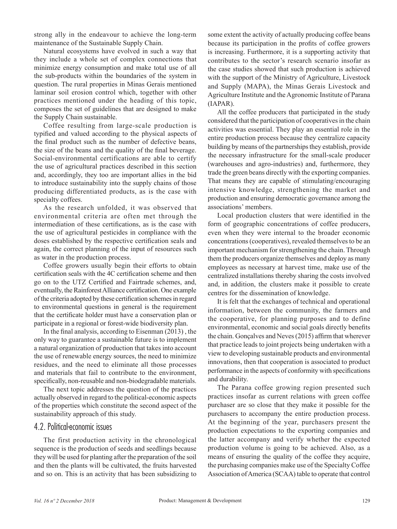strong ally in the endeavour to achieve the long-term maintenance of the Sustainable Supply Chain.

Natural ecosystems have evolved in such a way that they include a whole set of complex connections that minimize energy consumption and make total use of all the sub-products within the boundaries of the system in question. The rural properties in Minas Gerais mentioned laminar soil erosion control which, together with other practices mentioned under the heading of this topic, composes the set of guidelines that are designed to make the Supply Chain sustainable.

Coffee resulting from large-scale production is typified and valued according to the physical aspects of the final product such as the number of defective beans, the size of the beans and the quality of the final beverage. Social-environmental certifications are able to certify the use of agricultural practices described in this section and, accordingly, they too are important allies in the bid to introduce sustainability into the supply chains of those producing differentiated products, as is the case with specialty coffees.

As the research unfolded, it was observed that environmental criteria are often met through the intermediation of these certifications, as is the case with the use of agricultural pesticides in compliance with the doses established by the respective certification seals and again, the correct planning of the input of resources such as water in the production process.

Coffee growers usually begin their efforts to obtain certification seals with the 4C certification scheme and then go on to the UTZ Certified and Fairtrade schemes, and, eventually, the Rainforest Alliance certification. One example of the criteria adopted by these certification schemes in regard to environmental questions in general is the requirement that the certificate holder must have a conservation plan or participate in a regional or forest-wide biodiversity plan.

In the final analysis, according to Eisenman (2013) , the only way to guarantee a sustainable future is to implement a natural organization of production that takes into account the use of renewable energy sources, the need to minimize residues, and the need to eliminate all those processes and materials that fail to contribute to the environment, specifically, non-reusable and non-biodegradable materials.

The next topic addresses the question of the practices actually observed in regard to the political-economic aspects of the properties which constitute the second aspect of the sustainability approach of this study.

#### 4.2. Political-economic issues

The first production activity in the chronological sequence is the production of seeds and seedlings because they will be used for planting after the preparation of the soil and then the plants will be cultivated, the fruits harvested and so on. This is an activity that has been subsidizing to

some extent the activity of actually producing coffee beans because its participation in the profits of coffee growers is increasing. Furthermore, it is a supporting activity that contributes to the sector's research scenario insofar as the case studies showed that such production is achieved with the support of the Ministry of Agriculture, Livestock and Supply (MAPA), the Minas Gerais Livestock and Agriculture Institute and the Agronomic Institute of Parana (IAPAR).

All the coffee producers that participated in the study considered that the participation of cooperatives in the chain activities was essential. They play an essential role in the entire production process because they centralize capacity building by means of the partnerships they establish, provide the necessary infrastructure for the small-scale producer (warehouses and agro-industries) and, furthermore, they trade the green beans directly with the exporting companies. That means they are capable of stimulating/encouraging intensive knowledge, strengthening the market and production and ensuring democratic governance among the associations' members.

Local production clusters that were identified in the form of geographic concentrations of coffee producers, even when they were internal to the broader economic concentrations (cooperatives), revealed themselves to be an important mechanism for strengthening the chain. Through them the producers organize themselves and deploy as many employees as necessary at harvest time, make use of the centralized installations thereby sharing the costs involved and, in addition, the clusters make it possible to create centres for the dissemination of knowledge.

It is felt that the exchanges of technical and operational information, between the community, the farmers and the cooperative, for planning purposes and to define environmental, economic and social goals directly benefits the chain. Gonçalves and Neves (2015) affirm that wherever that practice leads to joint projects being undertaken with a view to developing sustainable products and environmental innovations, then that cooperation is associated to product performance in the aspects of conformity with specifications and durability.

The Parana coffee growing region presented such practices insofar as current relations with green coffee purchaser are so close that they make it possible for the purchasers to accompany the entire production process. At the beginning of the year, purchasers present the production expectations to the exporting companies and the latter accompany and verify whether the expected production volume is going to be achieved. Also, as a means of ensuring the quality of the coffee they acquire, the purchasing companies make use of the Specialty Coffee Association of America (SCAA) table to operate that control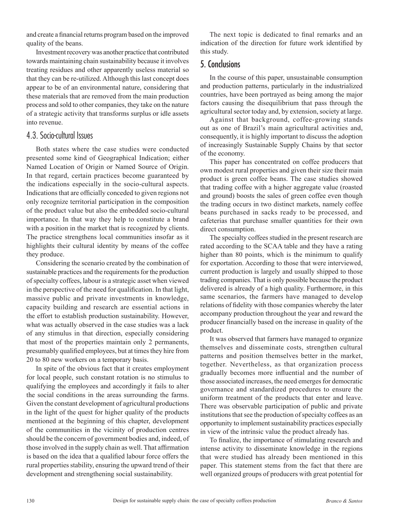and create a financial returns program based on the improved quality of the beans.

Investment recovery was another practice that contributed towards maintaining chain sustainability because it involves treating residues and other apparently useless material so that they can be re-utilized. Although this last concept does appear to be of an environmental nature, considering that these materials that are removed from the main production process and sold to other companies, they take on the nature of a strategic activity that transforms surplus or idle assets into revenue.

#### 4.3. Socio-cultural Issues

Both states where the case studies were conducted presented some kind of Geographical Indication; either Named Location of Origin or Named Source of Origin. In that regard, certain practices become guaranteed by the indications especially in the socio-cultural aspects. Indications that are officially conceded to given regions not only recognize territorial participation in the composition of the product value but also the embedded socio-cultural importance. In that way they help to constitute a brand with a position in the market that is recognized by clients. The practice strengthens local communities insofar as it highlights their cultural identity by means of the coffee they produce.

Considering the scenario created by the combination of sustainable practices and the requirements for the production of specialty coffees, labour is a strategic asset when viewed in the perspective of the need for qualification. In that light, massive public and private investments in knowledge, capacity building and research are essential actions in the effort to establish production sustainability. However, what was actually observed in the case studies was a lack of any stimulus in that direction, especially considering that most of the properties maintain only 2 permanents, presumably qualified employees, but at times they hire from 20 to 80 new workers on a temporary basis.

In spite of the obvious fact that it creates employment for local people, such constant rotation is no stimulus to qualifying the employees and accordingly it fails to alter the social conditions in the areas surrounding the farms. Given the constant development of agricultural productions in the light of the quest for higher quality of the products mentioned at the beginning of this chapter, development of the communities in the vicinity of production centres should be the concern of government bodies and, indeed, of those involved in the supply chain as well. That affirmation is based on the idea that a qualified labour force offers the rural properties stability, ensuring the upward trend of their development and strengthening social sustainability.

The next topic is dedicated to final remarks and an indication of the direction for future work identified by this study.

# 5. Conclusions

In the course of this paper, unsustainable consumption and production patterns, particularly in the industrialized countries, have been portrayed as being among the major factors causing the disequilibrium that pass through the agricultural sector today and, by extension, society at large.

Against that background, coffee-growing stands out as one of Brazil's main agricultural activities and, consequently, it is highly important to discuss the adoption of increasingly Sustainable Supply Chains by that sector of the economy.

This paper has concentrated on coffee producers that own modest rural properties and given their size their main product is green coffee beans. The case studies showed that trading coffee with a higher aggregate value (roasted and ground) boosts the sales of green coffee even though the trading occurs in two distinct markets, namely coffee beans purchased in sacks ready to be processed, and cafeterias that purchase smaller quantities for their own direct consumption.

The specialty coffees studied in the present research are rated according to the SCAA table and they have a rating higher than 80 points, which is the minimum to qualify for exportation. According to those that were interviewed, current production is largely and usually shipped to those trading companies. That is only possible because the product delivered is already of a high quality. Furthermore, in this same scenarios, the farmers have managed to develop relations of fidelity with those companies whereby the later accompany production throughout the year and reward the producer financially based on the increase in quality of the product.

It was observed that farmers have managed to organize themselves and disseminate costs, strengthen cultural patterns and position themselves better in the market, together. Nevertheless, as that organization process gradually becomes more influential and the number of those associated increases, the need emerges for democratic governance and standardized procedures to ensure the uniform treatment of the products that enter and leave. There was observable participation of public and private institutions that see the production of specialty coffees as an opportunity to implement sustainability practices especially in view of the intrinsic value the product already has.

To finalize, the importance of stimulating research and intense activity to disseminate knowledge in the regions that were studied has already been mentioned in this paper. This statement stems from the fact that there are well organized groups of producers with great potential for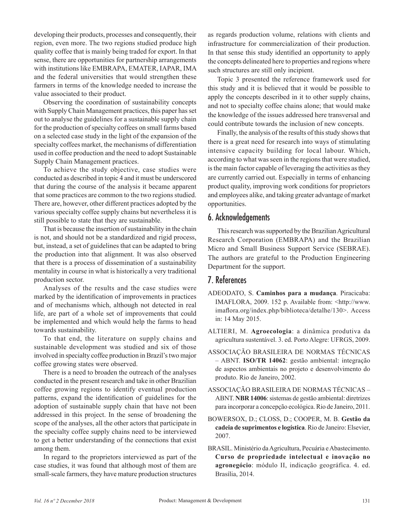developing their products, processes and consequently, their region, even more. The two regions studied produce high quality coffee that is mainly being traded for export. In that sense, there are opportunities for partnership arrangements with institutions like EMBRAPA, EMATER, IAPAR, IMA and the federal universities that would strengthen these farmers in terms of the knowledge needed to increase the value associated to their product.

Observing the coordination of sustainability concepts with Supply Chain Management practices, this paper has set out to analyse the guidelines for a sustainable supply chain for the production of specialty coffees on small farms based on a selected case study in the light of the expansion of the specialty coffees market, the mechanisms of differentiation used in coffee production and the need to adopt Sustainable Supply Chain Management practices.

To achieve the study objective, case studies were conducted as described in topic 4 and it must be underscored that during the course of the analysis it became apparent that some practices are common to the two regions studied. There are, however, other different practices adopted by the various specialty coffee supply chains but nevertheless it is still possible to state that they are sustainable.

That is because the insertion of sustainability in the chain is not, and should not be a standardized and rigid process, but, instead, a set of guidelines that can be adapted to bring the production into that alignment. It was also observed that there is a process of dissemination of a sustainability mentality in course in what is historically a very traditional production sector.

Analyses of the results and the case studies were marked by the identification of improvements in practices and of mechanisms which, although not detected in real life, are part of a whole set of improvements that could be implemented and which would help the farms to head towards sustainability.

To that end, the literature on supply chains and sustainable development was studied and six of those involved in specialty coffee production in Brazil's two major coffee growing states were observed.

There is a need to broaden the outreach of the analyses conducted in the present research and take in other Brazilian coffee growing regions to identify eventual production patterns, expand the identification of guidelines for the adoption of sustainable supply chain that have not been addressed in this project. In the sense of broadening the scope of the analyses, all the other actors that participate in the specialty coffee supply chains need to be interviewed to get a better understanding of the connections that exist among them.

In regard to the proprietors interviewed as part of the case studies, it was found that although most of them are small-scale farmers, they have mature production structures as regards production volume, relations with clients and infrastructure for commercialization of their production. In that sense this study identified an opportunity to apply the concepts delineated here to properties and regions where such structures are still only incipient.

Topic 3 presented the reference framework used for this study and it is believed that it would be possible to apply the concepts described in it to other supply chains, and not to specialty coffee chains alone; that would make the knowledge of the issues addressed here transversal and could contribute towards the inclusion of new concepts.

Finally, the analysis of the results of this study shows that there is a great need for research into ways of stimulating intensive capacity building for local labour. Which, according to what was seen in the regions that were studied, is the main factor capable of leveraging the activities as they are currently carried out. Especially in terms of enhancing product quality, improving work conditions for proprietors and employees alike, and taking greater advantage of market opportunities.

# 6. Acknowledgements

This research was supported by the Brazilian Agricultural Research Corporation (EMBRAPA) and the Brazilian Micro and Small Business Support Service (SEBRAE). The authors are grateful to the Production Engineering Department for the support.

# 7. References

- ADEODATO, S. **Caminhos para a mudança**. Piracicaba: IMAFLORA, 2009. 152 p. Available from: <http://www. imaflora.org/index.php/biblioteca/detalhe/130>. Access in: 14 May 2015.
- ALTIERI, M. **Agroecologia**: a dinâmica produtiva da agricultura sustentável. 3. ed. Porto Alegre: UFRGS, 2009.
- ASSOCIAÇÃO BRASILEIRA DE NORMAS TÉCNICAS – ABNT. **ISO/TR 14062**: gestão ambiental: integração de aspectos ambientais no projeto e desenvolvimento do produto. Rio de Janeiro, 2002.
- ASSOCIAÇÃO BRASILEIRA DE NORMAS TÉCNICAS ABNT. **NBR 14006**: sistemas de gestão ambiental: diretrizes para incorporar a concepção ecológica. Rio de Janeiro, 2011.
- BOWERSOX, D.; CLOSS, D.; COOPER, M. B. **Gestão da cadeia de suprimentos e logística**. Rio de Janeiro: Elsevier, 2007.
- BRASIL. Ministério da Agricultura, Pecuária e Abastecimento. **Curso de propriedade intelectual e inovação no agronegócio**: módulo II, indicação geográfica. 4. ed. Brasília, 2014.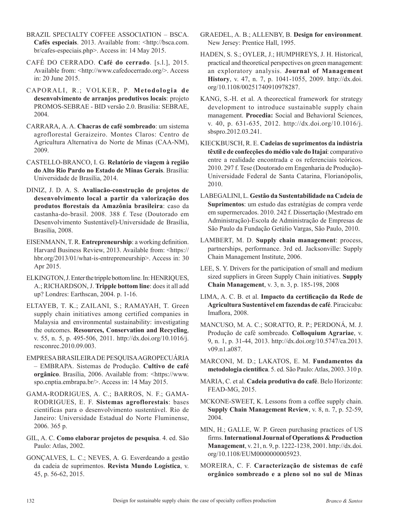BRAZIL SPECIALTY COFFEE ASSOCIATION – BSCA. **Cafés especiais**. 2013. Available from: <http://bsca.com. br/cafes-especiais.php>. Access in: 14 May 2015.

CAFÉ DO CERRADO. **Café do cerrado**. [s.l.], 2015. Available from: <http://www.cafedocerrado.org/>. Access in: 20 June 2015.

- CAPORALI, R.; VOLKER, P. **Metodologia de desenvolvimento de arranjos produtivos locais**: projeto PROMOS-SEBRAE - BID versão 2.0. Brasília: SEBRAE, 2004.
- CARRARA, A. A. **Chacras de café sombreado**: um sistema agroflorestal Geraizeiro. Montes Claros: Centro de Agricultura Alternativa do Norte de Minas (CAA-NM), 2009.
- CASTELLO-BRANCO, I. G. **Relatório de viagem à região do Alto Rio Pardo no Estado de Minas Gerais**. Brasília: Universidade de Brasília, 2014.
- DINIZ, J. D. A. S. **Avaliacão-construção de projetos de desenvolvimento local a partir da valorização dos produtos florestais da Amazônia brasileira**: caso da castanha-do-brasil. 2008. 388 f. Tese (Doutorado em Desenvolvimento Sustentável)-Universidade de Brasília, Brasília, 2008.
- EISENMANN, T. R. **Entrepreneurship**: a working definition. Harvard Business Review, 2013. Available from: <https:// hbr.org/2013/01/what-is-entrepreneurship>. Access in: 30 Apr 2015.
- ELKINGTON, J. Enter the tripple bottom line. In: HENRIQUES, A.; RICHARDSON, J. **Tripple bottom line**: does it all add up? Londres: Earthscan, 2004. p. 1-16.
- ELTAYEB, T. K.; ZAILANI, S.; RAMAYAH, T. Green supply chain initiatives among certified companies in Malaysia and environmental sustainability: investigating the outcomes. **Resources, Conservation and Recycling**, v. 55, n. 5, p. 495-506, 2011. [http://dx.doi.org/10.1016/j.](https://doi.org/10.1016/j.resconrec.2010.09.003) [resconrec.2010.09.003.](https://doi.org/10.1016/j.resconrec.2010.09.003)
- EMPRESA BRASILEIRA DE PESQUISA AGROPECUÁRIA – EMBRAPA. Sistemas de Produção. **Cultivo de café orgânico**. Brasília, 2006. Available from: <https://www. spo.cnptia.embrapa.br/>. Access in: 14 May 2015.
- GAMA-RODRIGUES, A. C.; BARROS, N. F.; GAMA-RODRIGUES, E. F. **Sistemas agroflorestais**: bases científicas para o desenvolvimento sustentável. Rio de Janeiro: Universidade Estadual do Norte Fluminense, 2006. 365 p.
- GIL, A. C. **Como elaborar projetos de pesquisa**. 4. ed. São Paulo: Atlas, 2002.
- GONÇALVES, L. C.; NEVES, A. G. Esverdeando a gestão da cadeia de suprimentos. **Revista Mundo Logística**, v. 45, p. 56-62, 2015.
- GRAEDEL, A. B.; ALLENBY, B. **Design for environment**. New Jersey: Prentice Hall, 1995.
- HADEN, S. S.; OYLER, J.; HUMPHREYS, J. H. Historical, practical and theoretical perspectives on green management: an exploratory analysis. **Journal of Management History**, v. 47, n. 7, p. 1041-1055, 2009. http://dx.doi. org/10.1108/00251740910978287.
- KANG, S.-H. et al. A theorectical framework for strategy development to introduce sustainable supply chain management. **Procedia:** Social and Behavioral Sciences, v. 40, p. 631-635, 2012. [http://dx.doi.org/10.1016/j.](https://doi.org/10.1016/j.sbspro.2012.03.241) [sbspro.2012.03.241](https://doi.org/10.1016/j.sbspro.2012.03.241).
- KIECKBUSCH, R. E. **Cadeias de suprimentos da indústria têxtil e de confecções do médio vale do Itajaí**: comparativo entre a realidade encontrada e os referenciais teóricos. 2010. 297 f. Tese (Doutorado em Engenharia de Produção)- Universidade Federal de Santa Catarina, Florianópolis, 2010.
- LABEGALINI, L. **Gestão da Sustentabilidade na Cadeia de Suprimentos**: um estudo das estratégias de compra verde em supermercados. 2010. 242 f. Dissertação (Mestrado em Administração)-Escola de Administração de Empresas de São Paulo da Fundação Getúlio Vargas, São Paulo, 2010.
- LAMBERT, M. D. **Supply chain management**: process, partnerships, performance. 3rd ed. Jacksonville: Supply Chain Management Institute, 2006.
- LEE, S. Y. Drivers for the participation of small and medium sized suppliers in Green Supply Chain initiatives. **Supply Chain Management**, v. 3, n. 3, p. 185-198, 2008
- LIMA, A. C. B. et al. **Impacto da certificação da Rede de Agricultura Sustentável em fazendas de café**. Piracicaba: Imaflora, 2008.
- MANCUSO, M. A. C.; SORATTO, R. P.; PERDONÁ, M. J. Produção de café sombreado. **Colloquium Agrariae**, v. 9, n. 1, p. 31-44, 2013. [http://dx.doi.org/10.5747/ca.2013.](https://doi.org/10.5747/ca.2013.v09.n1.a087) [v09.n1.a087](https://doi.org/10.5747/ca.2013.v09.n1.a087).
- MARCONI, M. D.; LAKATOS, E. M. **Fundamentos da metodologia científica**. 5. ed. São Paulo: Atlas, 2003. 310 p.
- MARIA, C. et al. **Cadeia produtiva do café**. Belo Horizonte: FEAD-MG, 2015.
- MCKONE-SWEET, K. Lessons from a coffee supply chain. **Supply Chain Management Review**, v. 8, n. 7, p. 52-59, 2004.
- MIN, H.; GALLE, W. P. Green purchasing practices of US firms. **International Journal of Operations & Production Management**, v. 21, n. 9, p. 1222-1238, 2001. [http://dx.doi.](https://doi.org/10.1108/EUM0000000005923) [org/10.1108/EUM0000000005923.](https://doi.org/10.1108/EUM0000000005923)
- MOREIRA, C. F. **Caracterização de sistemas de café orgânico sombreado e a pleno sol no sul de Minas**